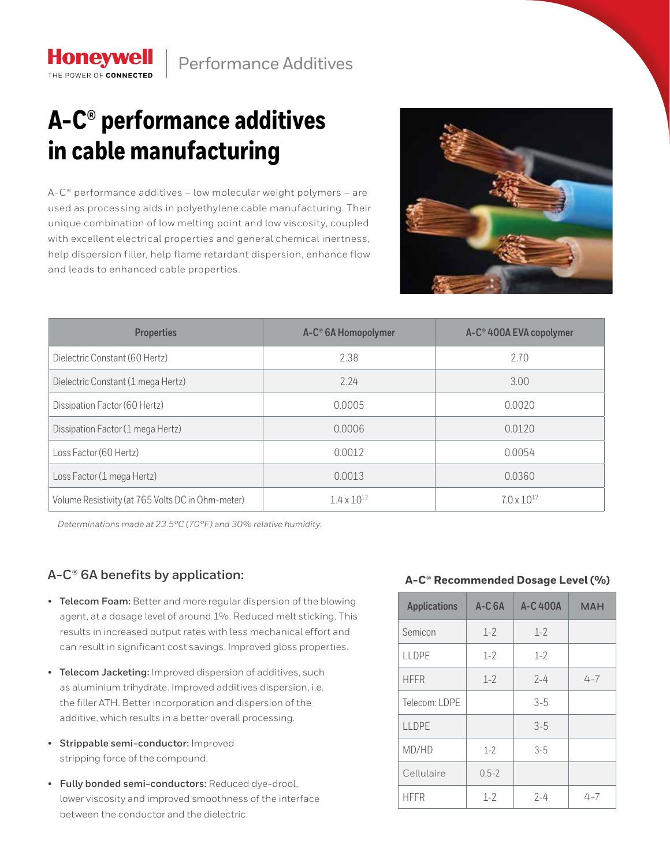## **A-C® performance additives in cable manufacturing**

**Honeywell** THE POWER OF CONNECTED

 $A-C<sup>®</sup>$  performance additives – low molecular weight polymers – are used as processing aids in polyethylene cable manufacturing. Their unique combination of low melting point and low viscosity, coupled with excellent electrical properties and general chemical inertness, help dispersion filler, help flame retardant dispersion, enhance flow and leads to enhanced cable properties.



| <b>Properties</b>                                 | A-C <sup>®</sup> 6A Homopolymer | A-C <sup>®</sup> 400A EVA copolymer |
|---------------------------------------------------|---------------------------------|-------------------------------------|
| Dielectric Constant (60 Hertz)                    | 2.38                            | 2.70                                |
| Dielectric Constant (1 mega Hertz)                | 2.24                            | 3.00                                |
| Dissipation Factor (60 Hertz)                     | 0.0005<br>0.0020                |                                     |
| Dissipation Factor (1 mega Hertz)                 | 0.0006                          | 0.0120                              |
| Loss Factor (60 Hertz)                            | 0.0012                          | 0.0054                              |
| Loss Factor (1 mega Hertz)                        | 0.0013<br>0.0360                |                                     |
| Volume Resistivity (at 765 Volts DC in Ohm-meter) | $1.4 \times 10^{12}$            | $7.0 \times 10^{12}$                |

*Determinations made at 23.5°C (70°F) and 30% relative humidity.*

## **A-C® 6A benefits by application:**

- **Telecom Foam:** Better and more regular dispersion of the blowing agent, at a dosage level of around 1%. Reduced melt sticking. This results in increased output rates with less mechanical effort and can result in significant cost savings. Improved gloss properties.
- **Telecom Jacketing:** Improved dispersion of additives, such as aluminium trihydrate. Improved additives dispersion, i.e. the filler ATH. Better incorporation and dispersion of the additive, which results in a better overall processing.
- **Strippable semi-conductor:** Improved stripping force of the compound.
- **Fully bonded semi-conductors:** Reduced dye-drool, lower viscosity and improved smoothness of the interface between the conductor and the dielectric.

## **A-C® Recommended Dosage Level (%)**

| <b>Applications</b> | $A-C6A$   | A-C400A | <b>MAH</b> |
|---------------------|-----------|---------|------------|
| Semicon             | $1 - 2$   | $1 - 2$ |            |
| <b>LLDPE</b>        | $1 - 2$   | $1 - 2$ |            |
| <b>HFFR</b>         | $1 - 2$   | $7 - 4$ | $4 - 7$    |
| Telecom: LDPE       |           | $3 - 5$ |            |
| LLDPE               |           | $3-5$   |            |
| MD/HD               | $1 - 2$   | $3 - 5$ |            |
| Cellulaire          | $0.5 - 2$ |         |            |
| <b>HFFR</b>         | $1 - 2$   | $7 - 4$ | $4 - 7$    |